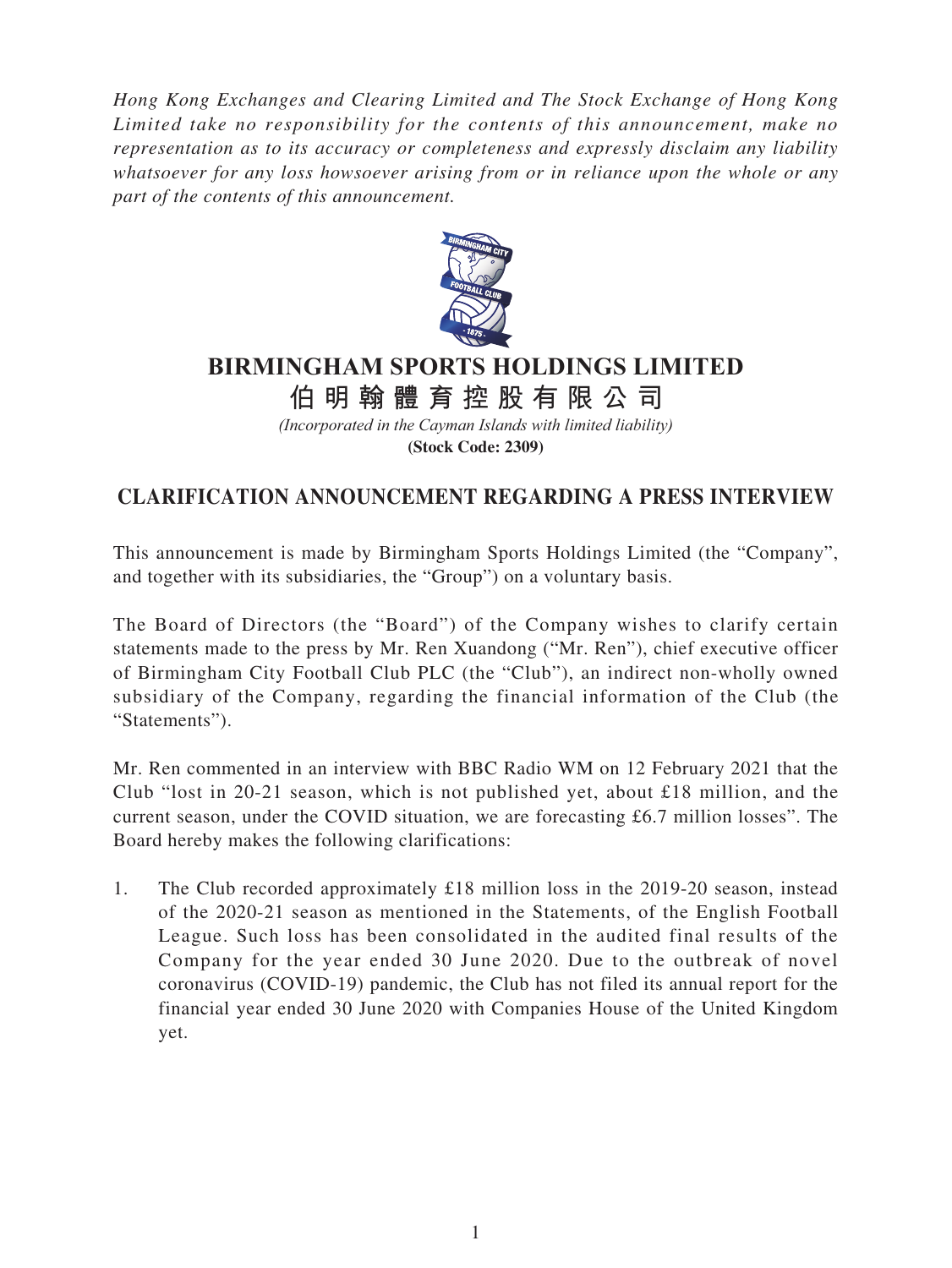*Hong Kong Exchanges and Clearing Limited and The Stock Exchange of Hong Kong Limited take no responsibility for the contents of this announcement, make no representation as to its accuracy or completeness and expressly disclaim any liability whatsoever for any loss howsoever arising from or in reliance upon the whole or any part of the contents of this announcement.*



## **BIRMINGHAM SPORTS HOLDINGS LIMITED**

**伯明翰體育控股有限公 司**

*(Incorporated in the Cayman Islands with limited liability)* **(Stock Code: 2309)**

## **CLARIFICATION ANNOUNCEMENT REGARDING A PRESS INTERVIEW**

This announcement is made by Birmingham Sports Holdings Limited (the "Company", and together with its subsidiaries, the "Group") on a voluntary basis.

The Board of Directors (the "Board") of the Company wishes to clarify certain statements made to the press by Mr. Ren Xuandong ("Mr. Ren"), chief executive officer of Birmingham City Football Club PLC (the "Club"), an indirect non-wholly owned subsidiary of the Company, regarding the financial information of the Club (the "Statements").

Mr. Ren commented in an interview with BBC Radio WM on 12 February 2021 that the Club "lost in 20-21 season, which is not published yet, about £18 million, and the current season, under the COVID situation, we are forecasting £6.7 million losses". The Board hereby makes the following clarifications:

1. The Club recorded approximately £18 million loss in the 2019-20 season, instead of the 2020-21 season as mentioned in the Statements, of the English Football League. Such loss has been consolidated in the audited final results of the Company for the year ended 30 June 2020. Due to the outbreak of novel coronavirus (COVID-19) pandemic, the Club has not filed its annual report for the financial year ended 30 June 2020 with Companies House of the United Kingdom yet.